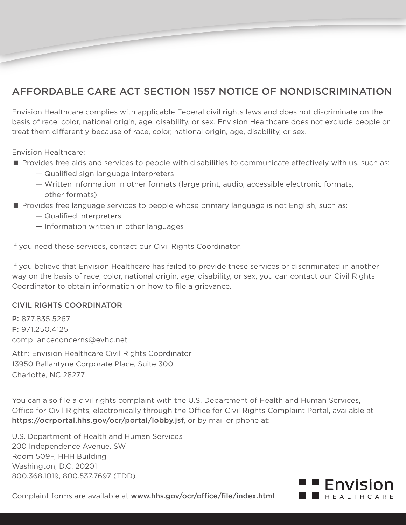## AFFORDABLE CARE ACT SECTION 1557 NOTICE OF NONDISCRIMINATION

Envision Healthcare complies with applicable Federal civil rights laws and does not discriminate on the basis of race, color, national origin, age, disability, or sex. Envision Healthcare does not exclude people or treat them differently because of race, color, national origin, age, disability, or sex.

Envision Healthcare:

- **Provides free aids and services to people with disabilities to communicate effectively with us, such as:** 
	- Qualified sign language interpreters
	- Written information in other formats (large print, audio, accessible electronic formats, other formats)
- Provides free language services to people whose primary language is not English, such as:
	- Qualified interpreters
	- Information written in other languages

If you need these services, contact our Civil Rights Coordinator.

If you believe that Envision Healthcare has failed to provide these services or discriminated in another way on the basis of race, color, national origin, age, disability, or sex, you can contact our Civil Rights Coordinator to obtain information on how to file a grievance.

## CIVIL RIGHTS COORDINATOR

P: 877.835.5267 F: 971.250.4125 complianceconcerns@evhc.net

Attn: Envision Healthcare Civil Rights Coordinator 13950 Ballantyne Corporate Place, Suite 300 Charlotte, NC 28277

You can also file a civil rights complaint with the U.S. Department of Health and Human Services, Office for Civil Rights, electronically through the Office for Civil Rights Complaint Portal, available at https://ocrportal.hhs.gov/ocr/portal/lobby.jsf, or by mail or phone at:

U.S. Department of Health and Human Services 200 Independence Avenue, SW Room 509F, HHH Building Washington, D.C. 20201 800.368.1019, 800.537.7697 (TDD)



Complaint forms are available at www.hhs.gov/ocr/office/file/index.html